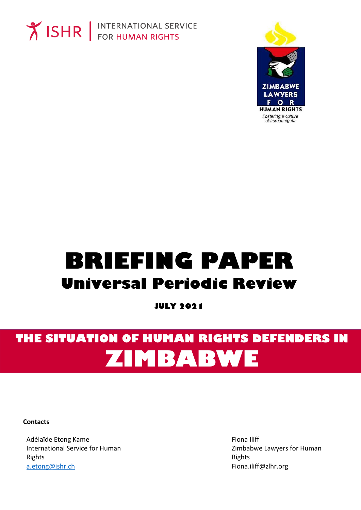



# **BRIEFING PAPER Universal Periodic Review**

**JULY 2021** 

## THE SITUATION OF HUMAN RIGHTS DEFENDERS IN ZIMBABWE

**Contacts** 

Adélaïde Etong Kame **International Service for Human** Rights a.etong@ishr.ch

Fiona Iliff Zimbabwe Lawyers for Human Rights Fiona.iliff@zlhr.org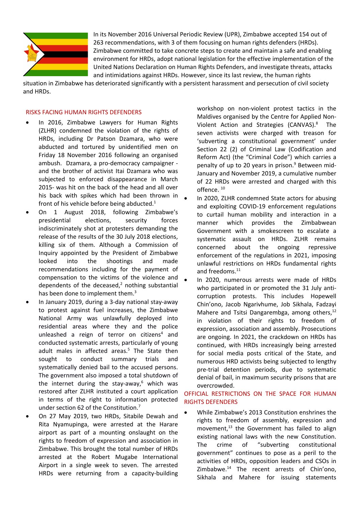

In its November 2016 Universal Periodic Review (UPR), Zimbabwe accepted 154 out of 263 recommendations, with 3 of them focusing on human rights defenders (HRDs). Zimbabwe committed to take concrete steps to create and maintain <sup>a</sup> safe and enabling environment for HRDs, adopt national legislation for the effective implementation of the United Nations Declaration on Human Rights Defenders, and investigate threats, attacks and intimidations against HRDs. However, since its last review, the human rights

situation in Zimbabwe has deteriorated significantly with <sup>a</sup> persistent harassment and persecution of civil society and HRDs.

#### RISKS FACING HUMAN RIGHTS DEFENDERS

- . In 2016, Zimbabwe Lawyers for Human Rights (ZLHR) condemned the violation of the rights of HRDs, including Dr Patson Dzamara, who were abducted and tortured by unidentified men on Friday 18 November 2016 following an organised ambush. Dzamara, <sup>a</sup> pro-democracy campaigner and the brother of activist Itai Dzamara who was subjected to enforced disappearance in March 2015- was hit on the back of the head and all over his back with spikes which had been thrown in front of his vehicle before being abducted.<sup>1</sup>
- . On 1 August 2018, following Zimbabwe'<sup>s</sup> presidential elections, security forces indiscriminately shot at protesters demanding the release of the results of the 30 July 2018 elections, killing six of them. Although <sup>a</sup> Commission of Inquiry appointed by the President of Zimbabwe looked into the shootings and made recommendations including for the payment of compensation to the victims of the violence and dependents of the deceased,<sup>2</sup> nothing substantial has been done to implement them.<sup>3</sup>
- . In January 2019, during <sup>a</sup> 3-day national stay-away to protest against fuel increases, the Zimbabwe National Army was unlawfully deployed into residential areas where they and the police unleashed a reign of terror on citizens<sup>4</sup> and conducted systematic arrests, particularly of young adult males in affected areas.<sup>5</sup> The State then sought to conduct summary trials and systematically denied bail to the accused persons. The government also imposed <sup>a</sup> total shutdown of the internet during the stay-away, 6 which was restored after ZLHR instituted <sup>a</sup> court application in terms of the right to information protected under section 62 of the Constitution.<sup>7</sup>
- . On 27 May 2019, two HRDs, Sitabile Dewah and Rita Nyamupinga, were arrested at the Harare airport as part of <sup>a</sup> mounting onslaught on the rights to freedom of expression and association in Zimbabwe. This brought the total number of HRDs arrested at the Robert Mugabe International Airport in <sup>a</sup> single week to seven. The arrested HRDs were returning from <sup>a</sup> capacity-building

workshop on non-violent protest tactics in the Maldives organised by the Centre for Applied Non-Violent Action and Strategies (CANVAS).<sup>8</sup> The seven activists were charged with treason for 'subverting <sup>a</sup> constitutional government' under Section 22 (2) of Criminal Law (Codification and Reform Act) (the "Criminal Code") which carries <sup>a</sup> penalty of up to 20 years in prison.<sup>9</sup> Between mid-January and November 2019, <sup>a</sup> cumulative number of 22 HRDs were arrested and charged with this offence. <sup>10</sup>

- e In 2020, ZLHR condemned State actors for abusing and exploiting COVID-19 enforcement regulations to curtail human mobility and interaction in <sup>a</sup> manner which provides the Zimbabwean Government with a smokescreen to escalate a systematic assault on HRDs. ZLHR remains concerned about the ongoing repressive enforcement of the regulations in 2021, imposing unlawful restrictions on HRDs fundamental rights and freedoms.<sup>11</sup>
- e In 2020, numerous arrests were made of HRDs who participated in or promoted the 31 July anticorruption protests. This includes Hopewell Chin'ono, Jacob Ngarivhume, Job Sikhala, Fadzayi Mahere and Tsitsi Dangarembga, among others,<sup>12</sup> in violation of their rights to freedom of expression, association and assembly. Prosecutions are ongoing. In 2021, the crackdown on HRDs has continued, with HRDs increasingly being arrested for social media posts critical of the State, and numerous HRD activists being subjected to lengthy pre-trial detention periods, due to systematic denial of bail, in maximum security prisons that are overcrowded.

### OFFICIAL RESTRICTIONS ON THE SPACE FOR HUMAN RIGHTS DEFENDERS

. While Zimbabwe'<sup>s</sup> 2013 Constitution enshrines the rights to freedom of assembly, expression and movement, 13 the Government has failed to align existing national laws with the new Constitution. The crime of "subverting constitutional government" continues to pose as <sup>a</sup> peril to the activities of HRDs, opposition leaders and CSOs in Zimbabwe. 14 The recent arrests of Chin'ono, Sikhala and Mahere for issuing statements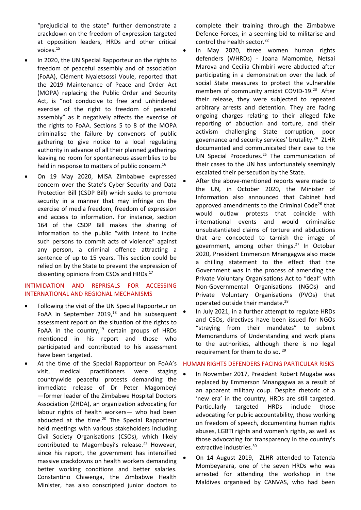"prejudicial to the state" further demonstrate <sup>a</sup> crackdown on the freedom of expression targeted at opposition leaders, HRDs and other critical voices. $^{\rm 15}$ 

e

- c In 2020, the UN Special Rapporteur on the rights to freedom of peaceful assembly and of association (FoAA), Clément Nyaletsossi Voule, reported that the 2019 Maintenance of Peace and Order Act (MOPA) replacing the Public Order and Security Act, is "not conducive to free and unhindered exercise of the right to freedom of peaceful assembly" as it negatively affects the exercise of the rights to FoAA. Sections 5 to 8 of the MOPA criminalise the failure by convenors of public gathering to give notice to <sup>a</sup> local regulating authority in advance of all their planned gatherings leaving no room for spontaneous assemblies to be held in response to matters of public concern.<sup>16</sup>
- c On 19 May 2020, MISA Zimbabwe expressed concern over the State'<sup>s</sup> Cyber Security and Data Protection Bill (CSDP Bill) which seeks to promote security in <sup>a</sup> manner that may infringe on the exercise of media freedom, freedom of expression and access to information. For instance, section 164 of the CSDP Bill makes the sharing of information to the public "with intent to incite such persons to commit acts of violence" against any person, <sup>a</sup> criminal offence attracting <sup>a</sup> sentence of up to 15 years. This section could be relied on by the State to prevent the expression of dissenting opinions from CSOs and HRDs.<sup>17</sup>

### INTIMIDATION AND REPRISALS FOR ACCESSING INTERNATIONAL AND REGIONAL MECHANISMS

- c Following the visit of the UN Special Rapporteur on FoAA in September 2019,<sup>18</sup> and his subsequent assessment report on the situation of the rights to FoAA in the country,<sup>19</sup> certain groups of HRDs mentioned in his report and those who participated and contributed to his assessment have been targeted.
- e At the time of the Special Rapporteur on FoAA'<sup>s</sup> visit, medical practitioners were staging countrywide peaceful protests demanding the immediate release of Dr Peter Magombeyi —former leader of the Zimbabwe Hospital Doctors Association (ZHDA), an organization advocating for labour rights of health workers— who had been abducted at the time.<sup>20</sup> The Special Rapporteur held meetings with various stakeholders including Civil Society Organisations (CSOs), which likely contributed to Magombeyi's release.<sup>21</sup> However, since his report, the government has intensified massive crackdowns on health workers demanding better working conditions and better salaries. Constantino Chiwenga, the Zimbabwe Health Minister, has also conscripted junior doctors to

complete their training through the Zimbabwe Defence Forces, in <sup>a</sup> seeming bid to militarise and control the health sector.<sup>22</sup>

- In May 2020, three women human rights defenders (WHRDs) - Joana Mamombe, Netsai Marova and Cecilia Chimbiri were abducted after participating in <sup>a</sup> demonstration over the lack of social State measures to protect the vulnerable members of community amidst COVID-19.<sup>23</sup> After their release, they were subjected to repeated arbitrary arrests and detention. They are facing ongoing charges relating to their alleged fake reporting of abduction and torture, and their activism challenging State corruption, poor governance and security services' brutality.<sup>24</sup> ZLHR documented and communicated their case to the UN Special Procedures. 25 The communication of their cases to the UN has unfortunately seemingly escalated their persecution by the State.
- c After the above-mentioned reports were made to the UN, in October 2020, the Minister of Information also announced that Cabinet had approved amendments to the Criminal Code<sup>26</sup> that would outlaw protests that coincide with international events and would criminalise unsubstantiated claims of torture and abductions that are concocted to tarnish the image of government, among other things. 27 In October 2020, President Emmerson Mnangagwa also made <sup>a</sup> chilling statement to the effect that the Government was in the process of amending the Private Voluntary Organisations Act to "deal" with Non-Governmental Organisations (NGOs) and Private Voluntary Organisations (PVOs) that operated outside their mandate.<sup>28</sup>
- c In July 2021, in <sup>a</sup> further attempt to regulate HRDs and CSOs, directives have been issued for NGOs "straying from their mandates" to submit Memorandums of Understanding and work plans to the authorities, although there is no legal requirement for them to do so. <sup>29</sup>

#### HUMAN RIGHTS DEFENDERS FACING PARTICULAR RISKS

- c In November 2017, President Robert Mugabe was replaced by Emmerson Mnangagwa as <sup>a</sup> result of an apparent military coup. Despite rhetoric of <sup>a</sup> 'new era' in the country, HRDs are still targeted. Particularly targeted HRDs include those advocating for public accountability, those working on freedom of speech, documenting human rights abuses, LGBTI rights and women's rights, as well as those advocating for transparency in the country's extractive industries.<sup>30</sup>
- c On 14 August 2019, ZLHR attended to Tatenda Mombeyarara, one of the seven HRDs who was arrested for attending the workshop in the Maldives organised by CANVAS, who had been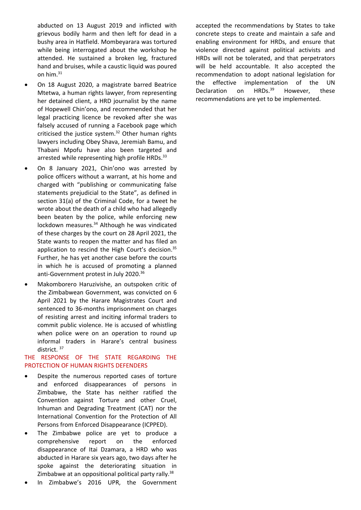abducted on 13 August 2019 and inflicted with grievous bodily harm and then left for dead in <sup>a</sup> bushy area in Hatfield. Mombeyarara was tortured while being interrogated about the workshop he attended. He sustained <sup>a</sup> broken leg, fractured hand and bruises, while <sup>a</sup> caustic liquid was poured on him. 31

- c On 18 August 2020, <sup>a</sup> magistrate barred Beatrice Mtetwa, <sup>a</sup> human rights lawyer, from representing her detained client, <sup>a</sup> HRD journalist by the name of Hopewell Chin'ono, and recommended that her legal practicing licence be revoked after she was falsely accused of running <sup>a</sup> Facebook page which criticised the justice system. 32 Other human rights lawyers including Obey Shava, Jeremiah Bamu, and Thabani Mpofu have also been targeted and arrested while representing high profile HRDs.<sup>33</sup>
- e On 8 January 2021, Chin'ono was arrested by police officers without <sup>a</sup> warrant, at his home and charged with "publishing or communicating false statements prejudicial to the State", as defined in section 31(a) of the Criminal Code, for <sup>a</sup> tweet he wrote about the death of <sup>a</sup> child who had allegedly been beaten by the police, while enforcing new lockdown measures.<sup>34</sup> Although he was vindicated of these charges by the court on 28 April 2021, the State wants to reopen the matter and has filed an application to rescind the High Court's decision.<sup>35</sup> Further, he has yet another case before the courts in which he is accused of promoting <sup>a</sup> planned anti-Government protest in July 2020.<sup>36</sup>
- e Makomborero Haruzivishe, an outspoken critic of the Zimbabwean Government, was convicted on 6 April 2021 by the Harare Magistrates Court and sentenced to 36-months imprisonment on charges of resisting arrest and inciting informal traders to commit public violence. He is accused of whistling when police were on an operation to round up informal traders in Harare'<sup>s</sup> central business district. <sup>37</sup>

### THE RESPONSE OF THE STATE REGARDING THE PROTECTION OF HUMAN RIGHTS DEFENDERS

- c Despite the numerous reported cases of torture and enforced disappearances of persons in Zimbabwe, the State has neither ratified the Convention against Torture and other Cruel, Inhuman and Degrading Treatment (CAT) nor the International Convention for the Protection of All Persons from Enforced Disappearance (ICPPED).
- c The Zimbabwe police are yet to produce <sup>a</sup> comprehensive report on the enforced disappearance of Itai Dzamara, <sup>a</sup> HRD who was abducted in Harare six years ago, two days after he spoke against the deteriorating situation in Zimbabwe at an oppositional political party rally.<sup>38</sup>
- c In Zimbabwe'<sup>s</sup> 2016 UPR, the Government

accepted the recommendations by States to take concrete steps to create and maintain <sup>a</sup> safe and enabling environment for HRDs, and ensure that violence directed against political activists and HRDs will not be tolerated, and that perpetrators will be held accountable. It also accepted the recommendation to adopt national legislation for the effective implementation of the UN Declaration on  $HRDs.<sup>39</sup>$ However, these recommendations are yet to be implemented.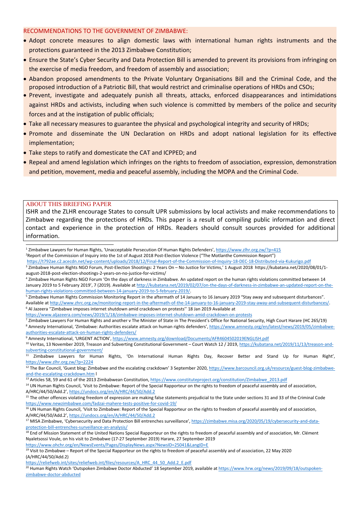#### RECOMMENDATIONS TO THE GOVERNMENT OF ZIMBABWE:

- Adopt concrete measures to align domestic laws with international human rights instruments and the protections guaranteed in the 2013 Zimbabwe Constitution;
- Ensure the State'<sup>s</sup> Cyber Security and Data Protection Bill is amended to prevent its provisions from infringing on the exercise of media freedom, and freedom of assembly and association;
- Abandon proposed amendments to the Private Voluntary Organisations Bill and the Criminal Code, and the proposed introduction of <sup>a</sup> Patriotic Bill, that would restrict and criminalise operations of HRDs and CSOs;
- Prevent, investigate and adequately punish all threats, attacks, enforced disappearances and intimidations against HRDs and activists, including when such violence is committed by members of the police and security forces and at the instigation of public officials;
- **Take all necessary measures to guarantee the physical and psychological integrity and security of HRDs**;
- Promote and disseminate the UN Declaration on HRDs and adopt national legislation for its effective implementation;
- Take steps to ratify and domesticate the CAT and ICPPED; and
- Repeal and amend legislation which infringes on the rights to freedom of association, expression, demonstratior and petition, movement, media and peaceful assembly, including the MOPA and the Criminal Code.

#### ABOUT THIS BRIEFING PAPER

ISHR and the ZLHR encourage States to consult UPR submissions by local activists and make recommendations to Zimbabwe regarding the protections of HRDs. This paper is <sup>a</sup> result of compiling public information and direct contact and experience in the protection of HRDs. Readers should consult sources provided for additional information.

<sup>1</sup> Zimbabwe Lawyers for Human Rights, 'Unacceptable Persecution Of Human Rights Defenders', <https://www.zlhr.org.zw/?p=415> <sup>2</sup> Report of the Commission of Inquiry into the 1st of August 2018 Post-Election Violence ("The Motlanthe Commission Report")

<https://t792ae.c2.acecdn.net/wp-content/uploads/2018/12/Final-Report-of-the-Commission-of-Inquiry-18-DEC-18-Distributed-via-Kukurigo.pdf>

3 Zimbabwe Human Rights NGO Forum, Post-Election Shootings: 2 Years On – No Justice for Victims,' 1 August 2018 https://kubatana.net/2020/08/01/1 august-2018-post-election-shootings-2-years-on-no-justice-for-victims/

<https://www.aljazeera.com/news/2019/1/18/zimbabwe-imposes-internet-shutdown-amid-crackdown-on-protests>

<sup>9</sup> Amnesty International, 'URGENT ACTION', <https://www.amnesty.org/download/Documents/AFR4604502019ENGLISH.pdf>

<sup>14</sup> UN Human Rights Council, 'Visit to Zimbabwe: Report of the Special Rapporteur on the rights to freedom of peaceful assembly and of association A/HRC/44/50/Add.2', <https://undocs.org/en/A/HRC/44/50/Add.2>

<sup>15</sup> The other offences violating freedom of expression are making false statements prejudicial to the State under sections 31 and 33 of the Criminal Code <https://www.newzimbabwe.com/fadzai-mahere-tests-positive-for-covid-19/>

<sup>16</sup> UN Human Rights Council, 'Visit to Zimbabwe: Report of the Special Rapporteur on the rights to freedom of peaceful assembly and of association A/HRC/44/50/Add.2', <https://undocs.org/en/A/HRC/44/50/Add.2>

<sup>17</sup> MISA Zimbabwe, 'Cybersecurity and Data Protection Bill entrenches surveillance', [https://zimbabwe.misa.org/2020/05/19/cybersecurity-and-data](https://zimbabwe.misa.org/2020/05/19/cybersecurity-and-data-protection-bill-entrenches-surveillance-an-analysis/)[protection-bill-entrenches-surveillance-an-analysis/](https://zimbabwe.misa.org/2020/05/19/cybersecurity-and-data-protection-bill-entrenches-surveillance-an-analysis/)

[https://reliefweb.int/sites/reliefweb.int/files/resources/A\\_HRC\\_44\\_50\\_Add.2\\_E.pdf](https://reliefweb.int/sites/reliefweb.int/files/resources/A_HRC_44_50_Add.2_E.pdf)

<sup>20</sup> Human Rights Watch 'Outspoken Zimbabwe Doctor Abducted' 18 September 2019, available at [https://www.hrw.org/news/2019/09/18/outspoken](https://www.hrw.org/news/2019/09/18/outspoken-zimbabwe-doctor-abducted)[zimbabwe-doctor-abducted](https://www.hrw.org/news/2019/09/18/outspoken-zimbabwe-doctor-abducted)

<sup>4</sup> Zimbabwe Human Rights NGO Forum 'On the days of darkness in Zimbabwe. An updated report on the human rights violations committed between 14 January 2019 to 5 February 2019', 7 (2019). Available at [http://kubatana.net/2019/02/07/on-the-days-of-darkness-in-zimbabwe-an-updated-report-on-the](http://kubatana.net/2019/02/07/on-the-days-of-darkness-in-zimbabwe-an-updated-report-on-the-human-rights-violations-committed-between-14-january-2019-to-5-february-2019/)[human-rights-violations-committed-between-14-january-2019-to-5-february-2019/](http://kubatana.net/2019/02/07/on-the-days-of-darkness-in-zimbabwe-an-updated-report-on-the-human-rights-violations-committed-between-14-january-2019-to-5-february-2019/).

<sup>5</sup> Zimbabwe Human Rights Commission Monitoring Report in the aftermath of 14 January to 16 January 2019 "Stay away and subsequent disturbances". Available at <http://www.zhrc.org.zw/monitoring-report-in-the-aftermath-of-the-14-january-to-16-january-2019-stay-away-and-subsequent-disturbances/>. 6 Al Jazeera ''Zimbabwe imposes internet shutdown amid crackdown on protests'' 18 Jan 2019 Available at

<sup>7</sup> Zimbabwe Lawyers For Human Rights and another <sup>v</sup> The Minister of State in The President'<sup>s</sup> Office for National Security, High Court Harare (HC 265/19) <sup>8</sup> Amnesty International, 'Zimbabwe: Authorities escalate attack on human rights defenders', [https://www.amnesty.org/en/latest/news/2019/05/zimbabwe](https://www.amnesty.org/en/latest/news/2019/05/zimbabwe-authorities-escalate-attack-on-human-rights-defenders/)[authorities-escalate-attack-on-human-rights-defenders/](https://www.amnesty.org/en/latest/news/2019/05/zimbabwe-authorities-escalate-attack-on-human-rights-defenders/)

<sup>&</sup>lt;sup>10</sup> Veritas, 13 November 2019, Treason and Subverting Constitutional Government – Court Watch 12 / 2019, [https://kubatana.net/2019/11/13/treason-and](https://kubatana.net/2019/11/13/treason-and-subverting-constitutional-government/)[subverting-constitutional-government/](https://kubatana.net/2019/11/13/treason-and-subverting-constitutional-government/)

<sup>11</sup> Zimbabwe Lawyers for Human Rights, 'On International Human Rights Day, Recover Better and Stand Up for Human Right', <https://www.zlhr.org.zw/?p=2224>

<sup>&</sup>lt;sup>12</sup> The Bar Council, 'Guest blog: Zimbabwe and the escalating crackdown' 3 September 2020, [https://www.barcouncil.org.uk/resource/guest-blog-zimbabwe](https://www.barcouncil.org.uk/resource/guest-blog-zimbabwe-and-the-escalating-crackdown.htm)[and-the-escalating-crackdown.htm](https://www.barcouncil.org.uk/resource/guest-blog-zimbabwe-and-the-escalating-crackdown.htm) l

<sup>&</sup>lt;sup>13</sup> Articles 58, 59 and 61 of the 2013 Zimbabwean Constitution, [https://www.constituteproject.org/constitution/Zimbabwe\\_2013.pdf](https://www.constituteproject.org/constitution/Zimbabwe_2013.pdf)

<sup>&</sup>lt;sup>18</sup> End of Mission Statement of the United Nations Special Rapporteur on the rights to freedom of peaceful assembly and of association, Mr. Clément Nyaletsossi Voule, on his visit to Zimbabwe (17-27 September 2019) Harare, 27 September 2019

<https://www.ohchr.org/en/NewsEvents/Pages/DisplayNews.aspx?NewsID=25041&LangID=E> <sup>19</sup> Visit to Zimbabwe – Report of the Special Rapporteur on the rights to freedom of peaceful assembly and of association, 22 May 2020 (A/HRC/44/50/Add.2)